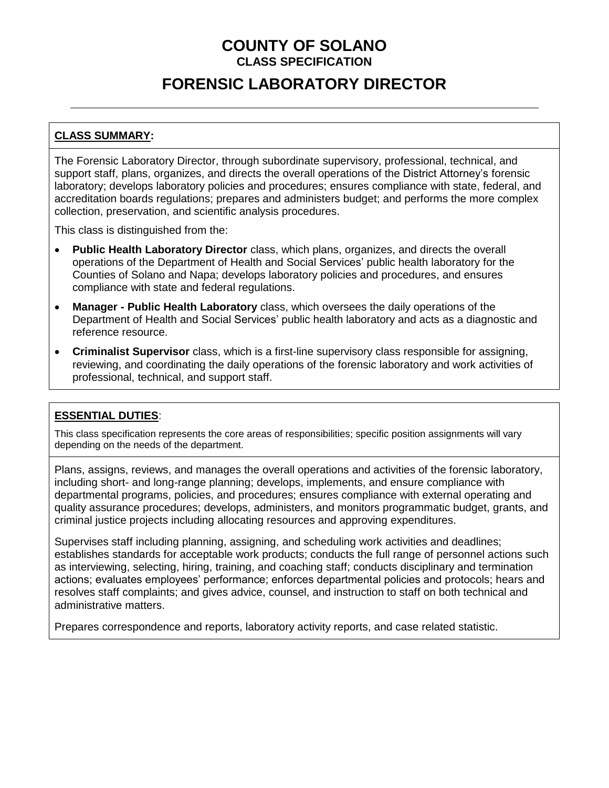# **FORENSIC LABORATORY DIRECTOR**

## **CLASS SUMMARY:**

The Forensic Laboratory Director, through subordinate supervisory, professional, technical, and support staff, plans, organizes, and directs the overall operations of the District Attorney's forensic laboratory; develops laboratory policies and procedures; ensures compliance with state, federal, and accreditation boards regulations; prepares and administers budget; and performs the more complex collection, preservation, and scientific analysis procedures.

This class is distinguished from the:

- **Public Health Laboratory Director** class, which plans, organizes, and directs the overall operations of the Department of Health and Social Services' public health laboratory for the Counties of Solano and Napa; develops laboratory policies and procedures, and ensures compliance with state and federal regulations.
- **Manager - Public Health Laboratory** class, which oversees the daily operations of the Department of Health and Social Services' public health laboratory and acts as a diagnostic and reference resource.
- **Criminalist Supervisor** class, which is a first-line supervisory class responsible for assigning, reviewing, and coordinating the daily operations of the forensic laboratory and work activities of professional, technical, and support staff.

### **ESSENTIAL DUTIES**:

This class specification represents the core areas of responsibilities; specific position assignments will vary depending on the needs of the department.

Plans, assigns, reviews, and manages the overall operations and activities of the forensic laboratory, including short- and long-range planning; develops, implements, and ensure compliance with departmental programs, policies, and procedures; ensures compliance with external operating and quality assurance procedures; develops, administers, and monitors programmatic budget, grants, and criminal justice projects including allocating resources and approving expenditures.

Supervises staff including planning, assigning, and scheduling work activities and deadlines; establishes standards for acceptable work products; conducts the full range of personnel actions such as interviewing, selecting, hiring, training, and coaching staff; conducts disciplinary and termination actions; evaluates employees' performance; enforces departmental policies and protocols; hears and resolves staff complaints; and gives advice, counsel, and instruction to staff on both technical and administrative matters.

Prepares correspondence and reports, laboratory activity reports, and case related statistic.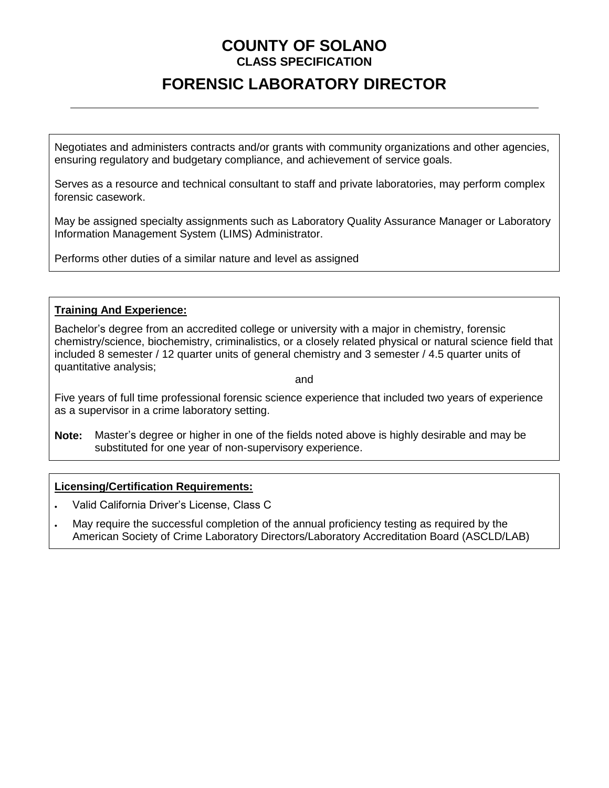# **FORENSIC LABORATORY DIRECTOR**

Negotiates and administers contracts and/or grants with community organizations and other agencies, ensuring regulatory and budgetary compliance, and achievement of service goals.

Serves as a resource and technical consultant to staff and private laboratories, may perform complex forensic casework.

May be assigned specialty assignments such as Laboratory Quality Assurance Manager or Laboratory Information Management System (LIMS) Administrator.

Performs other duties of a similar nature and level as assigned

#### **Training And Experience:**

Bachelor's degree from an accredited college or university with a major in chemistry, forensic chemistry/science, biochemistry, criminalistics, or a closely related physical or natural science field that included 8 semester / 12 quarter units of general chemistry and 3 semester / 4.5 quarter units of quantitative analysis;

and

Five years of full time professional forensic science experience that included two years of experience as a supervisor in a crime laboratory setting.

**Note:** Master's degree or higher in one of the fields noted above is highly desirable and may be substituted for one year of non-supervisory experience.

### **Licensing/Certification Requirements:**

- Valid California Driver's License, Class C
- May require the successful completion of the annual proficiency testing as required by the American Society of Crime Laboratory Directors/Laboratory Accreditation Board (ASCLD/LAB)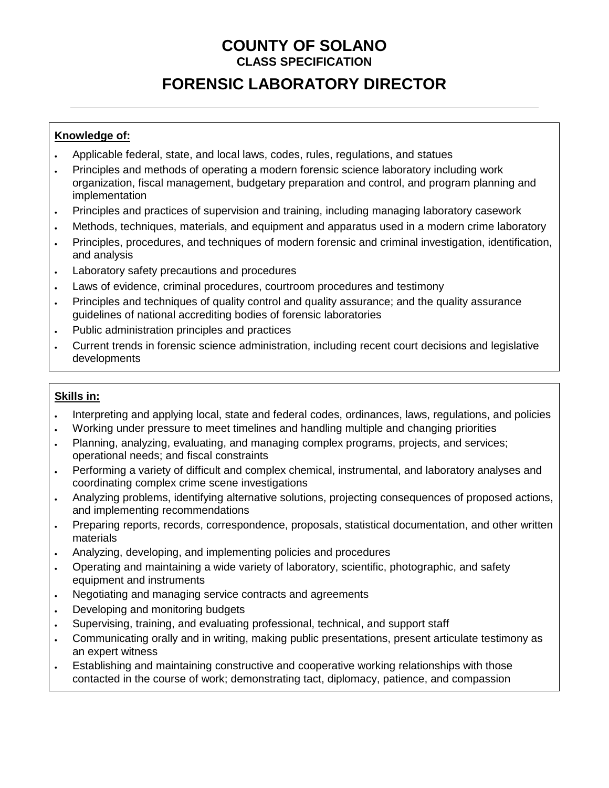# **FORENSIC LABORATORY DIRECTOR**

## **Knowledge of:**

- Applicable federal, state, and local laws, codes, rules, regulations, and statues
- Principles and methods of operating a modern forensic science laboratory including work organization, fiscal management, budgetary preparation and control, and program planning and implementation
- Principles and practices of supervision and training, including managing laboratory casework
- Methods, techniques, materials, and equipment and apparatus used in a modern crime laboratory
- Principles, procedures, and techniques of modern forensic and criminal investigation, identification, and analysis
- Laboratory safety precautions and procedures
- Laws of evidence, criminal procedures, courtroom procedures and testimony
- Principles and techniques of quality control and quality assurance; and the quality assurance guidelines of national accrediting bodies of forensic laboratories
- Public administration principles and practices
- Current trends in forensic science administration, including recent court decisions and legislative developments

### **Skills in:**

- Interpreting and applying local, state and federal codes, ordinances, laws, regulations, and policies
- Working under pressure to meet timelines and handling multiple and changing priorities
- Planning, analyzing, evaluating, and managing complex programs, projects, and services; operational needs; and fiscal constraints
- Performing a variety of difficult and complex chemical, instrumental, and laboratory analyses and coordinating complex crime scene investigations
- Analyzing problems, identifying alternative solutions, projecting consequences of proposed actions, and implementing recommendations
- Preparing reports, records, correspondence, proposals, statistical documentation, and other written materials
- Analyzing, developing, and implementing policies and procedures
- Operating and maintaining a wide variety of laboratory, scientific, photographic, and safety equipment and instruments
- Negotiating and managing service contracts and agreements
- Developing and monitoring budgets
- Supervising, training, and evaluating professional, technical, and support staff
- Communicating orally and in writing, making public presentations, present articulate testimony as an expert witness
- Establishing and maintaining constructive and cooperative working relationships with those contacted in the course of work; demonstrating tact, diplomacy, patience, and compassion